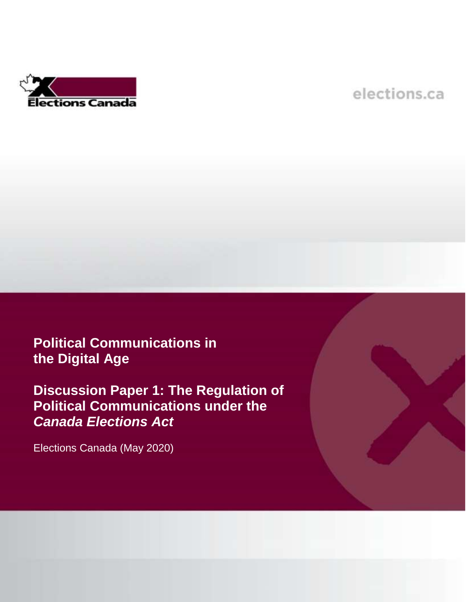

# elections.ca

# **Political Communications in the Digital Age**

**Discussion Paper 1: The Regulation of Political Communications under the**  *Canada Elections Act*

Elections Canada (May 2020)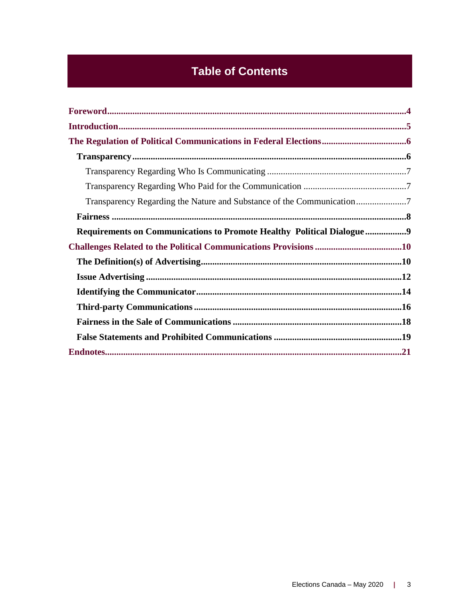# **Table of Contents**

| Requirements on Communications to Promote Healthy Political Dialogue9 |  |
|-----------------------------------------------------------------------|--|
|                                                                       |  |
|                                                                       |  |
|                                                                       |  |
|                                                                       |  |
|                                                                       |  |
|                                                                       |  |
|                                                                       |  |
|                                                                       |  |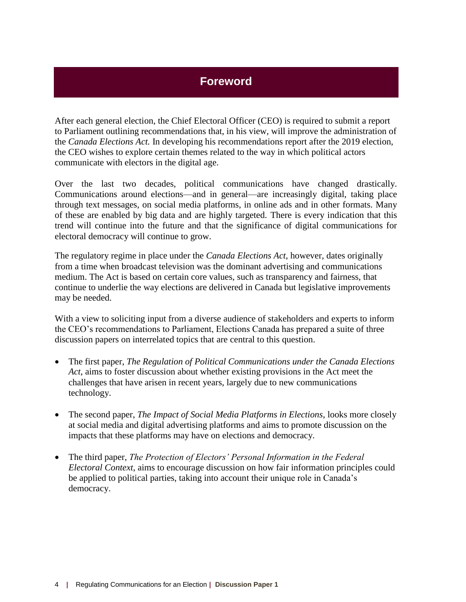# **Foreword**

<span id="page-3-0"></span>After each general election, the Chief Electoral Officer (CEO) is required to submit a report to Parliament outlining recommendations that, in his view, will improve the administration of the *Canada Elections Act.* In developing his recommendations report after the 2019 election, the CEO wishes to explore certain themes related to the way in which political actors communicate with electors in the digital age.

Over the last two decades, political communications have changed drastically. Communications around elections—and in general—are increasingly digital, taking place through text messages, on social media platforms, in online ads and in other formats. Many of these are enabled by big data and are highly targeted. There is every indication that this trend will continue into the future and that the significance of digital communications for electoral democracy will continue to grow.

The regulatory regime in place under the *Canada Elections Act*, however, dates originally from a time when broadcast television was the dominant advertising and communications medium. The Act is based on certain core values, such as transparency and fairness, that continue to underlie the way elections are delivered in Canada but legislative improvements may be needed.

With a view to soliciting input from a diverse audience of stakeholders and experts to inform the CEO's recommendations to Parliament, Elections Canada has prepared a suite of three discussion papers on interrelated topics that are central to this question.

- The first paper, *The Regulation of Political Communications under the Canada Elections Act*, aims to foster discussion about whether existing provisions in the Act meet the challenges that have arisen in recent years, largely due to new communications technology.
- The second paper, *The Impact of Social Media Platforms in Elections*, looks more closely at social media and digital advertising platforms and aims to promote discussion on the impacts that these platforms may have on elections and democracy.
- The third paper, *The Protection of Electors' Personal Information in the Federal Electoral Context*, aims to encourage discussion on how fair information principles could be applied to political parties, taking into account their unique role in Canada's democracy.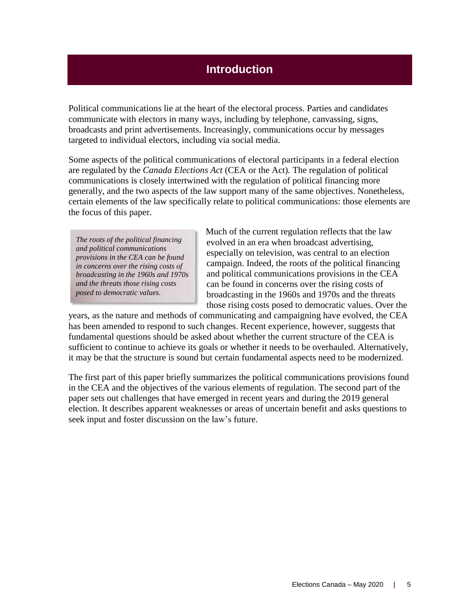# **Introduction**

<span id="page-4-0"></span>Political communications lie at the heart of the electoral process. Parties and candidates communicate with electors in many ways, including by telephone, canvassing, signs, broadcasts and print advertisements. Increasingly, communications occur by messages targeted to individual electors, including via social media.

Some aspects of the political communications of electoral participants in a federal election are regulated by the *Canada Elections Act* (CEA or the Act)*.* The regulation of political communications is closely intertwined with the regulation of political financing more generally, and the two aspects of the law support many of the same objectives. Nonetheless, certain elements of the law specifically relate to political communications: those elements are the focus of this paper.

*The roots of the political financing and political communications provisions in the CEA can be found in concerns over the rising costs of broadcasting in the 1960s and 1970s and the threats those rising costs posed to democratic values.*

Much of the current regulation reflects that the law evolved in an era when broadcast advertising, especially on television, was central to an election campaign. Indeed, the roots of the political financing and political communications provisions in the CEA can be found in concerns over the rising costs of broadcasting in the 1960s and 1970s and the threats those rising costs posed to democratic values. Over the

years, as the nature and methods of communicating and campaigning have evolved, the CEA has been amended to respond to such changes. Recent experience, however, suggests that fundamental questions should be asked about whether the current structure of the CEA is sufficient to continue to achieve its goals or whether it needs to be overhauled. Alternatively, it may be that the structure is sound but certain fundamental aspects need to be modernized.

The first part of this paper briefly summarizes the political communications provisions found in the CEA and the objectives of the various elements of regulation. The second part of the paper sets out challenges that have emerged in recent years and during the 2019 general election. It describes apparent weaknesses or areas of uncertain benefit and asks questions to seek input and foster discussion on the law's future.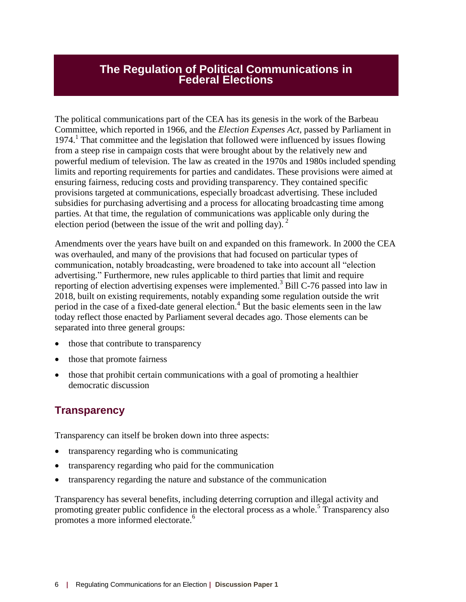### <span id="page-5-0"></span>**The Regulation of Political Communications in Federal Elections**

The political communications part of the CEA has its genesis in the work of the Barbeau Committee, which reported in 1966, and the *Election Expenses Act*, passed by Parliament in 1974.<sup>1</sup> That committee and the legislation that followed were influenced by issues flowing from a steep rise in campaign costs that were brought about by the relatively new and powerful medium of television. The law as created in the 1970s and 1980s included spending limits and reporting requirements for parties and candidates. These provisions were aimed at ensuring fairness, reducing costs and providing transparency. They contained specific provisions targeted at communications, especially broadcast advertising. These included subsidies for purchasing advertising and a process for allocating broadcasting time among parties. At that time, the regulation of communications was applicable only during the election period (between the issue of the writ and polling day).  $2^2$ 

Amendments over the years have built on and expanded on this framework. In 2000 the CEA was overhauled, and many of the provisions that had focused on particular types of communication, notably broadcasting, were broadened to take into account all "election advertising." Furthermore, new rules applicable to third parties that limit and require reporting of election advertising expenses were implemented.<sup>3</sup> Bill C-76 passed into law in 2018, built on existing requirements, notably expanding some regulation outside the writ period in the case of a fixed-date general election.<sup>4</sup> But the basic elements seen in the law today reflect those enacted by Parliament several decades ago. Those elements can be separated into three general groups:

- those that contribute to transparency
- those that promote fairness
- those that prohibit certain communications with a goal of promoting a healthier democratic discussion

## <span id="page-5-1"></span>**Transparency**

Transparency can itself be broken down into three aspects:

- transparency regarding who is communicating
- transparency regarding who paid for the communication
- transparency regarding the nature and substance of the communication

Transparency has several benefits, including deterring corruption and illegal activity and promoting greater public confidence in the electoral process as a whole.<sup>5</sup> Transparency also promotes a more informed electorate.<sup>6</sup>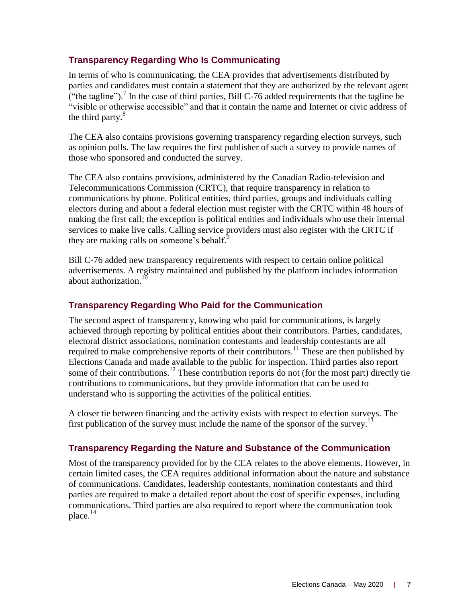#### <span id="page-6-0"></span>**Transparency Regarding Who Is Communicating**

In terms of who is communicating, the CEA provides that advertisements distributed by parties and candidates must contain a statement that they are authorized by the relevant agent ("the tagline").<sup>7</sup> In the case of third parties, Bill C-76 added requirements that the tagline be "visible or otherwise accessible" and that it contain the name and Internet or civic address of the third party.<sup>8</sup>

The CEA also contains provisions governing transparency regarding election surveys, such as opinion polls. The law requires the first publisher of such a survey to provide names of those who sponsored and conducted the survey.

The CEA also contains provisions, administered by the Canadian Radio-television and Telecommunications Commission (CRTC), that require transparency in relation to communications by phone. Political entities, third parties, groups and individuals calling electors during and about a federal election must register with the CRTC within 48 hours of making the first call; the exception is political entities and individuals who use their internal services to make live calls. Calling service providers must also register with the CRTC if they are making calls on someone's behalf. $^{9}$ 

Bill C-76 added new transparency requirements with respect to certain online political advertisements. A registry maintained and published by the platform includes information about authorization.<sup>10</sup>

#### <span id="page-6-1"></span>**Transparency Regarding Who Paid for the Communication**

The second aspect of transparency, knowing who paid for communications, is largely achieved through reporting by political entities about their contributors. Parties, candidates, electoral district associations, nomination contestants and leadership contestants are all required to make comprehensive reports of their contributors.<sup>11</sup> These are then published by Elections Canada and made available to the public for inspection. Third parties also report some of their contributions.<sup>12</sup> These contribution reports do not (for the most part) directly tie contributions to communications, but they provide information that can be used to understand who is supporting the activities of the political entities.

A closer tie between financing and the activity exists with respect to election surveys. The first publication of the survey must include the name of the sponsor of the survey.<sup>13</sup>

#### <span id="page-6-2"></span>**Transparency Regarding the Nature and Substance of the Communication**

Most of the transparency provided for by the CEA relates to the above elements. However, in certain limited cases, the CEA requires additional information about the nature and substance of communications. Candidates, leadership contestants, nomination contestants and third parties are required to make a detailed report about the cost of specific expenses, including communications. Third parties are also required to report where the communication took place.<sup>14</sup>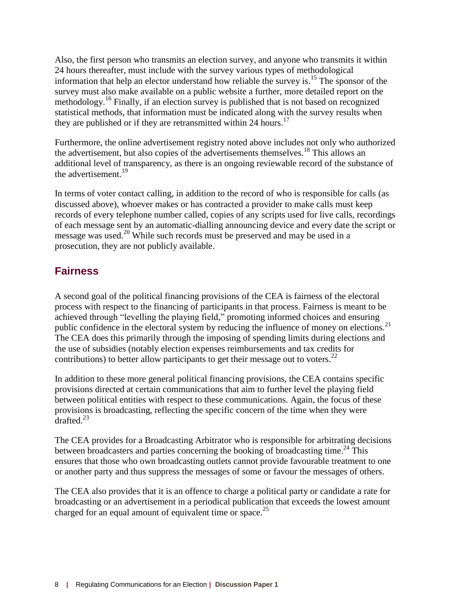Also, the first person who transmits an election survey, and anyone who transmits it within 24 hours thereafter, must include with the survey various types of methodological information that help an elector understand how reliable the survey is. <sup>15</sup> The sponsor of the survey must also make available on a public website a further, more detailed report on the methodology.<sup>16</sup> Finally, if an election survey is published that is not based on recognized statistical methods, that information must be indicated along with the survey results when they are published or if they are retransmitted within 24 hours.<sup>17</sup>

Furthermore, the online advertisement registry noted above includes not only who authorized the advertisement, but also copies of the advertisements themselves. <sup>18</sup> This allows an additional level of transparency, as there is an ongoing reviewable record of the substance of the advertisement.<sup>19</sup>

In terms of voter contact calling, in addition to the record of who is responsible for calls (as discussed above), whoever makes or has contracted a provider to make calls must keep records of every telephone number called, copies of any scripts used for live calls, recordings of each message sent by an automatic-dialling announcing device and every date the script or message was used.<sup>20</sup> While such records must be preserved and may be used in a prosecution, they are not publicly available.

## <span id="page-7-0"></span>**Fairness**

A second goal of the political financing provisions of the CEA is fairness of the electoral process with respect to the financing of participants in that process. Fairness is meant to be achieved through "levelling the playing field," promoting informed choices and ensuring public confidence in the electoral system by reducing the influence of money on elections.<sup>21</sup> The CEA does this primarily through the imposing of spending limits during elections and the use of subsidies (notably election expenses reimbursements and tax credits for contributions) to better allow participants to get their message out to voters.<sup>22</sup>

In addition to these more general political financing provisions, the CEA contains specific provisions directed at certain communications that aim to further level the playing field between political entities with respect to these communications. Again, the focus of these provisions is broadcasting, reflecting the specific concern of the time when they were  $\frac{1}{1}$ drafted<sup>23</sup>

The CEA provides for a Broadcasting Arbitrator who is responsible for arbitrating decisions between broadcasters and parties concerning the booking of broadcasting time.<sup>24</sup> This ensures that those who own broadcasting outlets cannot provide favourable treatment to one or another party and thus suppress the messages of some or favour the messages of others.

The CEA also provides that it is an offence to charge a political party or candidate a rate for broadcasting or an advertisement in a periodical publication that exceeds the lowest amount charged for an equal amount of equivalent time or space.<sup>25</sup>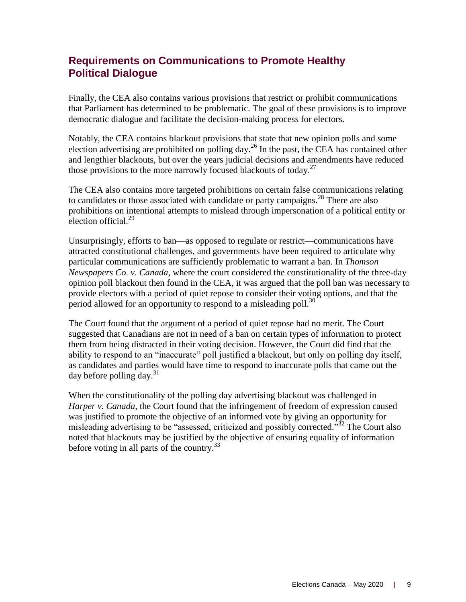# <span id="page-8-0"></span>**Requirements on Communications to Promote Healthy Political Dialogue**

Finally, the CEA also contains various provisions that restrict or prohibit communications that Parliament has determined to be problematic. The goal of these provisions is to improve democratic dialogue and facilitate the decision-making process for electors.

Notably, the CEA contains blackout provisions that state that new opinion polls and some election advertising are prohibited on polling day.<sup>26</sup> In the past, the CEA has contained other and lengthier blackouts, but over the years judicial decisions and amendments have reduced those provisions to the more narrowly focused blackouts of today.<sup>27</sup>

The CEA also contains more targeted prohibitions on certain false communications relating to candidates or those associated with candidate or party campaigns.<sup>28</sup> There are also prohibitions on intentional attempts to mislead through impersonation of a political entity or election official.<sup>29</sup>

Unsurprisingly, efforts to ban—as opposed to regulate or restrict—communications have attracted constitutional challenges, and governments have been required to articulate why particular communications are sufficiently problematic to warrant a ban. In *Thomson Newspapers Co. v. Canada*, where the court considered the constitutionality of the three-day opinion poll blackout then found in the CEA, it was argued that the poll ban was necessary to provide electors with a period of quiet repose to consider their voting options, and that the period allowed for an opportunity to respond to a misleading poll.<sup>30</sup>

The Court found that the argument of a period of quiet repose had no merit. The Court suggested that Canadians are not in need of a ban on certain types of information to protect them from being distracted in their voting decision. However, the Court did find that the ability to respond to an "inaccurate" poll justified a blackout, but only on polling day itself, as candidates and parties would have time to respond to inaccurate polls that came out the day before polling day.<sup>31</sup>

When the constitutionality of the polling day advertising blackout was challenged in *Harper v. Canada*, the Court found that the infringement of freedom of expression caused was justified to promote the objective of an informed vote by giving an opportunity for misleading advertising to be "assessed, criticized and possibly corrected.<sup>532</sup> The Court also noted that blackouts may be justified by the objective of ensuring equality of information before voting in all parts of the country. $33$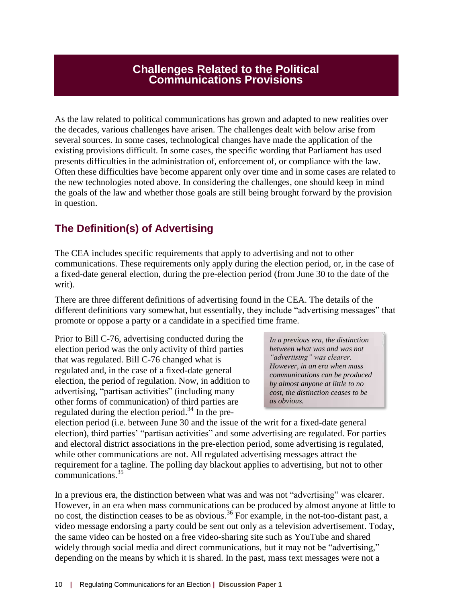### **Challenges Related to the Political Communications Provisions**

<span id="page-9-0"></span>As the law related to political communications has grown and adapted to new realities over the decades, various challenges have arisen. The challenges dealt with below arise from several sources. In some cases, technological changes have made the application of the existing provisions difficult. In some cases, the specific wording that Parliament has used presents difficulties in the administration of, enforcement of, or compliance with the law. Often these difficulties have become apparent only over time and in some cases are related to the new technologies noted above. In considering the challenges, one should keep in mind the goals of the law and whether those goals are still being brought forward by the provision in question.

# <span id="page-9-1"></span>**The Definition(s) of Advertising**

The CEA includes specific requirements that apply to advertising and not to other communications. These requirements only apply during the election period, or, in the case of a fixed-date general election, during the pre-election period (from June 30 to the date of the writ).

There are three different definitions of advertising found in the CEA. The details of the different definitions vary somewhat, but essentially, they include "advertising messages" that promote or oppose a party or a candidate in a specified time frame.

Prior to Bill C-76, advertising conducted during the election period was the only activity of third parties that was regulated. Bill C-76 changed what is regulated and, in the case of a fixed-date general election, the period of regulation. Now, in addition to advertising, "partisan activities" (including many other forms of communication) of third parties are regulated during the election period.<sup>34</sup> In the pre-

*In a previous era, the distinction between what was and was not "advertising" was clearer. However, in an era when mass communications can be produced by almost anyone at little to no cost, the distinction ceases to be as obvious.*

election period (i.e. between June 30 and the issue of the writ for a fixed-date general election), third parties' "partisan activities" and some advertising are regulated. For parties and electoral district associations in the pre-election period, some advertising is regulated, while other communications are not. All regulated advertising messages attract the requirement for a tagline. The polling day blackout applies to advertising, but not to other communications.<sup>35</sup>

In a previous era, the distinction between what was and was not "advertising" was clearer. However, in an era when mass communications can be produced by almost anyone at little to no cost, the distinction ceases to be as obvious.<sup>36</sup> For example, in the not-too-distant past, a video message endorsing a party could be sent out only as a television advertisement. Today, the same video can be hosted on a free video-sharing site such as YouTube and shared widely through social media and direct communications, but it may not be "advertising," depending on the means by which it is shared. In the past, mass text messages were not a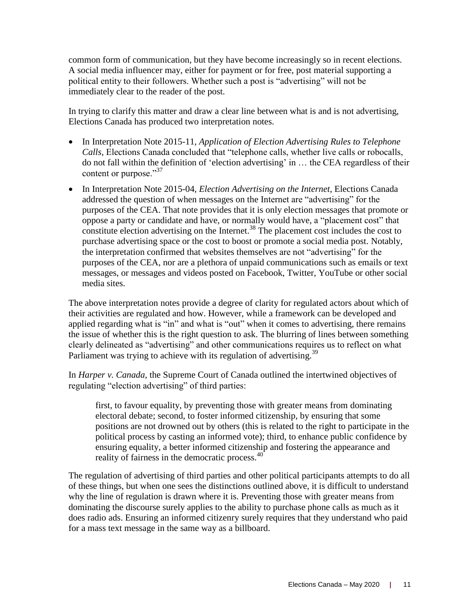common form of communication, but they have become increasingly so in recent elections. A social media influencer may, either for payment or for free, post material supporting a political entity to their followers. Whether such a post is "advertising" will not be immediately clear to the reader of the post.

In trying to clarify this matter and draw a clear line between what is and is not advertising, Elections Canada has produced two interpretation notes.

- In Interpretation Note 2015-11, *Application of Election Advertising Rules to Telephone Calls*, Elections Canada concluded that "telephone calls, whether live calls or robocalls, do not fall within the definition of 'election advertising' in … the CEA regardless of their content or purpose."<sup>37</sup>
- In Interpretation Note 2015-04, *Election Advertising on the Internet*, Elections Canada addressed the question of when messages on the Internet are "advertising" for the purposes of the CEA. That note provides that it is only election messages that promote or oppose a party or candidate and have, or normally would have, a "placement cost" that constitute election advertising on the Internet.<sup>38</sup> The placement cost includes the cost to purchase advertising space or the cost to boost or promote a social media post. Notably, the interpretation confirmed that websites themselves are not "advertising" for the purposes of the CEA, nor are a plethora of unpaid communications such as emails or text messages, or messages and videos posted on Facebook, Twitter, YouTube or other social media sites.

The above interpretation notes provide a degree of clarity for regulated actors about which of their activities are regulated and how. However, while a framework can be developed and applied regarding what is "in" and what is "out" when it comes to advertising, there remains the issue of whether this is the right question to ask. The blurring of lines between something clearly delineated as "advertising" and other communications requires us to reflect on what Parliament was trying to achieve with its regulation of advertising.<sup>39</sup>

In *Harper v. Canada,* the Supreme Court of Canada outlined the intertwined objectives of regulating "election advertising" of third parties:

first, to favour equality, by preventing those with greater means from dominating electoral debate; second, to foster informed citizenship, by ensuring that some positions are not drowned out by others (this is related to the right to participate in the political process by casting an informed vote); third, to enhance public confidence by ensuring equality, a better informed citizenship and fostering the appearance and reality of fairness in the democratic process.<sup>40</sup>

The regulation of advertising of third parties and other political participants attempts to do all of these things, but when one sees the distinctions outlined above, it is difficult to understand why the line of regulation is drawn where it is. Preventing those with greater means from dominating the discourse surely applies to the ability to purchase phone calls as much as it does radio ads. Ensuring an informed citizenry surely requires that they understand who paid for a mass text message in the same way as a billboard.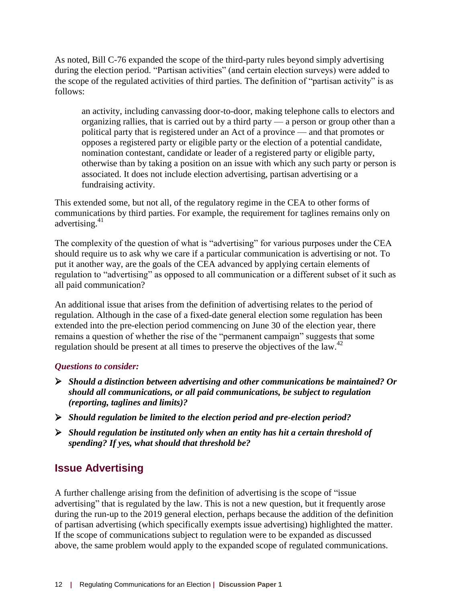As noted, Bill C-76 expanded the scope of the third-party rules beyond simply advertising during the election period. "Partisan activities" (and certain election surveys) were added to the scope of the regulated activities of third parties. The definition of "partisan activity" is as follows:

an activity, including canvassing door-to-door, making telephone calls to electors and organizing rallies, that is carried out by a third party — a person or group other than a political party that is registered under an Act of a province — and that promotes or opposes a registered party or eligible party or the election of a potential candidate, nomination contestant, candidate or leader of a registered party or eligible party, otherwise than by taking a position on an issue with which any such party or person is associated. It does not include election advertising, partisan advertising or a fundraising activity.

This extended some, but not all, of the regulatory regime in the CEA to other forms of communications by third parties. For example, the requirement for taglines remains only on advertising.<sup>41</sup>

The complexity of the question of what is "advertising" for various purposes under the CEA should require us to ask why we care if a particular communication is advertising or not. To put it another way, are the goals of the CEA advanced by applying certain elements of regulation to "advertising" as opposed to all communication or a different subset of it such as all paid communication?

An additional issue that arises from the definition of advertising relates to the period of regulation. Although in the case of a fixed-date general election some regulation has been extended into the pre-election period commencing on June 30 of the election year, there remains a question of whether the rise of the "permanent campaign" suggests that some regulation should be present at all times to preserve the objectives of the law.<sup>42</sup>

#### *Questions to consider:*

- *Should a distinction between advertising and other communications be maintained? Or should all communications, or all paid communications, be subject to regulation (reporting, taglines and limits)?*
- *Should regulation be limited to the election period and pre-election period?*
- *Should regulation be instituted only when an entity has hit a certain threshold of spending? If yes, what should that threshold be?*

## <span id="page-11-0"></span>**Issue Advertising**

A further challenge arising from the definition of advertising is the scope of "issue advertising" that is regulated by the law. This is not a new question, but it frequently arose during the run-up to the 2019 general election, perhaps because the addition of the definition of partisan advertising (which specifically exempts issue advertising) highlighted the matter. If the scope of communications subject to regulation were to be expanded as discussed above, the same problem would apply to the expanded scope of regulated communications.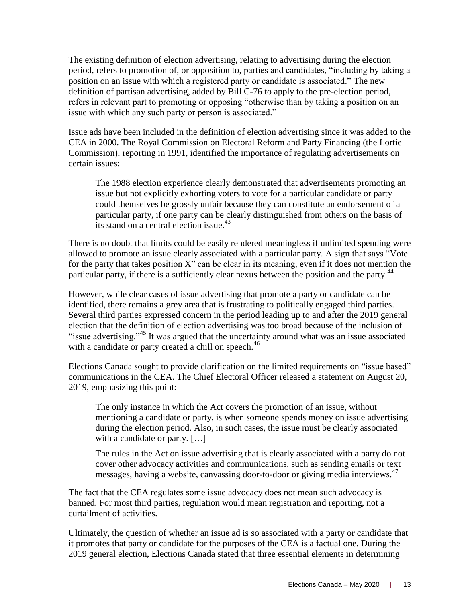The existing definition of election advertising, relating to advertising during the election period, refers to promotion of, or opposition to, parties and candidates, "including by taking a position on an issue with which a registered party or candidate is associated." The new definition of partisan advertising, added by Bill C-76 to apply to the pre-election period, refers in relevant part to promoting or opposing "otherwise than by taking a position on an issue with which any such party or person is associated."

Issue ads have been included in the definition of election advertising since it was added to the CEA in 2000. The Royal Commission on Electoral Reform and Party Financing (the Lortie Commission), reporting in 1991, identified the importance of regulating advertisements on certain issues:

The 1988 election experience clearly demonstrated that advertisements promoting an issue but not explicitly exhorting voters to vote for a particular candidate or party could themselves be grossly unfair because they can constitute an endorsement of a particular party, if one party can be clearly distinguished from others on the basis of its stand on a central election issue.<sup>43</sup>

There is no doubt that limits could be easily rendered meaningless if unlimited spending were allowed to promote an issue clearly associated with a particular party. A sign that says "Vote for the party that takes position X" can be clear in its meaning, even if it does not mention the particular party, if there is a sufficiently clear nexus between the position and the party.<sup>44</sup>

However, while clear cases of issue advertising that promote a party or candidate can be identified, there remains a grey area that is frustrating to politically engaged third parties. Several third parties expressed concern in the period leading up to and after the 2019 general election that the definition of election advertising was too broad because of the inclusion of "issue advertising."<sup>45</sup> It was argued that the uncertainty around what was an issue associated with a candidate or party created a chill on speech.<sup>46</sup>

Elections Canada sought to provide clarification on the limited requirements on "issue based" communications in the CEA. The Chief Electoral Officer released a statement on August 20, 2019, emphasizing this point:

The only instance in which the Act covers the promotion of an issue, without mentioning a candidate or party, is when someone spends money on issue advertising during the election period. Also, in such cases, the issue must be clearly associated with a candidate or party. [...]

The rules in the Act on issue advertising that is clearly associated with a party do not cover other advocacy activities and communications, such as sending emails or text messages, having a website, canvassing door-to-door or giving media interviews.<sup>47</sup>

The fact that the CEA regulates some issue advocacy does not mean such advocacy is banned. For most third parties, regulation would mean registration and reporting, not a curtailment of activities.

Ultimately, the question of whether an issue ad is so associated with a party or candidate that it promotes that party or candidate for the purposes of the CEA is a factual one. During the 2019 general election, Elections Canada stated that three essential elements in determining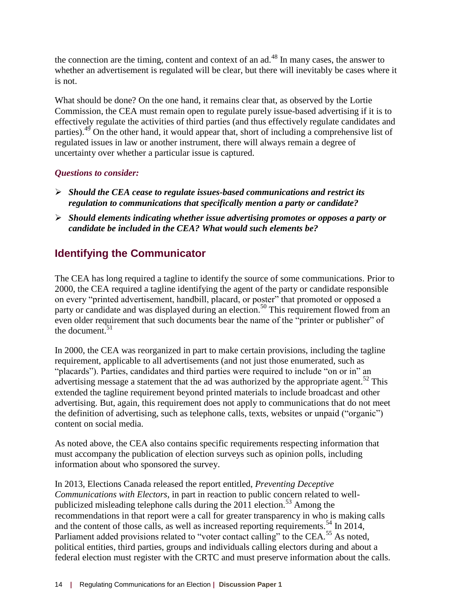the connection are the timing, content and context of an  $ad<sup>48</sup>$  In many cases, the answer to whether an advertisement is regulated will be clear, but there will inevitably be cases where it is not.

What should be done? On the one hand, it remains clear that, as observed by the Lortie Commission, the CEA must remain open to regulate purely issue-based advertising if it is to effectively regulate the activities of third parties (and thus effectively regulate candidates and parties).<sup>49</sup> On the other hand, it would appear that, short of including a comprehensive list of regulated issues in law or another instrument, there will always remain a degree of uncertainty over whether a particular issue is captured.

#### *Questions to consider:*

- *Should the CEA cease to regulate issues-based communications and restrict its regulation to communications that specifically mention a party or candidate?*
- *Should elements indicating whether issue advertising promotes or opposes a party or candidate be included in the CEA? What would such elements be?*

# <span id="page-13-0"></span>**Identifying the Communicator**

The CEA has long required a tagline to identify the source of some communications. Prior to 2000, the CEA required a tagline identifying the agent of the party or candidate responsible on every "printed advertisement, handbill, placard, or poster" that promoted or opposed a party or candidate and was displayed during an election.<sup>50</sup> This requirement flowed from an even older requirement that such documents bear the name of the "printer or publisher" of the document. $51$ 

In 2000, the CEA was reorganized in part to make certain provisions, including the tagline requirement, applicable to all advertisements (and not just those enumerated, such as "placards"). Parties, candidates and third parties were required to include "on or in" an advertising message a statement that the ad was authorized by the appropriate agent.<sup>52</sup> This extended the tagline requirement beyond printed materials to include broadcast and other advertising. But, again, this requirement does not apply to communications that do not meet the definition of advertising, such as telephone calls, texts, websites or unpaid ("organic") content on social media.

As noted above, the CEA also contains specific requirements respecting information that must accompany the publication of election surveys such as opinion polls, including information about who sponsored the survey.

In 2013, Elections Canada released the report entitled, *Preventing Deceptive Communications with Electors*, in part in reaction to public concern related to wellpublicized misleading telephone calls during the  $2011$  election.<sup>53</sup> Among the recommendations in that report were a call for greater transparency in who is making calls and the content of those calls, as well as increased reporting requirements.<sup>54</sup> In 2014, Parliament added provisions related to "voter contact calling" to the CEA.<sup>55</sup> As noted, political entities, third parties, groups and individuals calling electors during and about a federal election must register with the CRTC and must preserve information about the calls.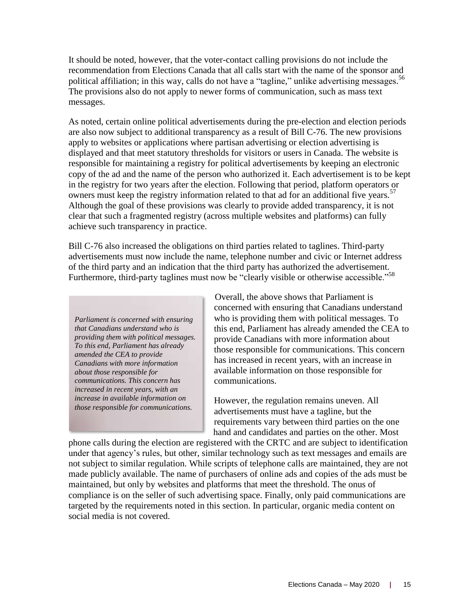It should be noted, however, that the voter-contact calling provisions do not include the recommendation from Elections Canada that all calls start with the name of the sponsor and political affiliation; in this way, calls do not have a "tagline," unlike advertising messages.<sup>56</sup> The provisions also do not apply to newer forms of communication, such as mass text messages.

As noted, certain online political advertisements during the pre-election and election periods are also now subject to additional transparency as a result of Bill C-76. The new provisions apply to websites or applications where partisan advertising or election advertising is displayed and that meet statutory thresholds for visitors or users in Canada. The website is responsible for maintaining a registry for political advertisements by keeping an electronic copy of the ad and the name of the person who authorized it. Each advertisement is to be kept in the registry for two years after the election. Following that period, platform operators or owners must keep the registry information related to that ad for an additional five years.<sup>57</sup> Although the goal of these provisions was clearly to provide added transparency, it is not clear that such a fragmented registry (across multiple websites and platforms) can fully achieve such transparency in practice.

Bill C-76 also increased the obligations on third parties related to taglines. Third-party advertisements must now include the name, telephone number and civic or Internet address of the third party and an indication that the third party has authorized the advertisement. Furthermore, third-party taglines must now be "clearly visible or otherwise accessible."<sup>58</sup>

*Parliament is concerned with ensuring that Canadians understand who is providing them with political messages. To this end, Parliament has already amended the CEA to provide Canadians with more information about those responsible for communications. This concern has increased in recent years, with an increase in available information on those responsible for communications.*

Overall, the above shows that Parliament is concerned with ensuring that Canadians understand who is providing them with political messages. To this end, Parliament has already amended the CEA to provide Canadians with more information about those responsible for communications. This concern has increased in recent years, with an increase in available information on those responsible for communications.

However, the regulation remains uneven. All advertisements must have a tagline, but the requirements vary between third parties on the one hand and candidates and parties on the other. Most

phone calls during the election are registered with the CRTC and are subject to identification under that agency's rules, but other, similar technology such as text messages and emails are not subject to similar regulation. While scripts of telephone calls are maintained, they are not made publicly available. The name of purchasers of online ads and copies of the ads must be maintained, but only by websites and platforms that meet the threshold. The onus of compliance is on the seller of such advertising space. Finally, only paid communications are targeted by the requirements noted in this section. In particular, organic media content on social media is not covered.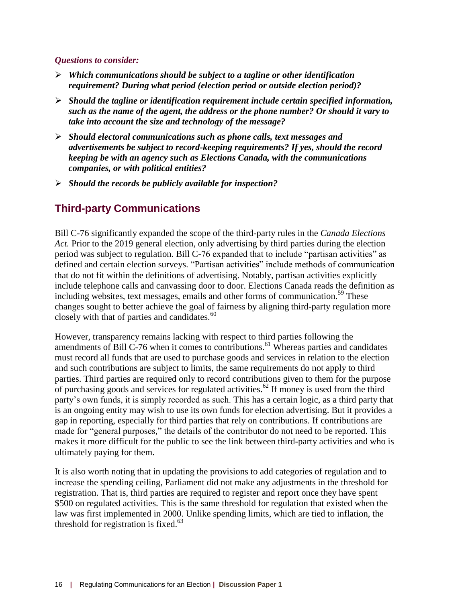#### *Questions to consider:*

- *Which communications should be subject to a tagline or other identification requirement? During what period (election period or outside election period)?*
- *Should the tagline or identification requirement include certain specified information, such as the name of the agent, the address or the phone number? Or should it vary to take into account the size and technology of the message?*
- *Should electoral communications such as phone calls, text messages and advertisements be subject to record-keeping requirements? If yes, should the record keeping be with an agency such as Elections Canada, with the communications companies, or with political entities?*
- *Should the records be publicly available for inspection?*

## <span id="page-15-0"></span>**Third-party Communications**

Bill C-76 significantly expanded the scope of the third-party rules in the *Canada Elections Act.* Prior to the 2019 general election, only advertising by third parties during the election period was subject to regulation. Bill C-76 expanded that to include "partisan activities" as defined and certain election surveys. "Partisan activities" include methods of communication that do not fit within the definitions of advertising. Notably, partisan activities explicitly include telephone calls and canvassing door to door. Elections Canada reads the definition as including websites, text messages, emails and other forms of communication.<sup>59</sup> These changes sought to better achieve the goal of fairness by aligning third-party regulation more closely with that of parties and candidates.<sup>60</sup>

However, transparency remains lacking with respect to third parties following the amendments of Bill C-76 when it comes to contributions.<sup>61</sup> Whereas parties and candidates must record all funds that are used to purchase goods and services in relation to the election and such contributions are subject to limits, the same requirements do not apply to third parties. Third parties are required only to record contributions given to them for the purpose of purchasing goods and services for regulated activities.<sup>62</sup> If money is used from the third party's own funds, it is simply recorded as such. This has a certain logic, as a third party that is an ongoing entity may wish to use its own funds for election advertising. But it provides a gap in reporting, especially for third parties that rely on contributions. If contributions are made for "general purposes," the details of the contributor do not need to be reported. This makes it more difficult for the public to see the link between third-party activities and who is ultimately paying for them.

It is also worth noting that in updating the provisions to add categories of regulation and to increase the spending ceiling, Parliament did not make any adjustments in the threshold for registration. That is, third parties are required to register and report once they have spent \$500 on regulated activities. This is the same threshold for regulation that existed when the law was first implemented in 2000. Unlike spending limits, which are tied to inflation, the threshold for registration is fixed. $63$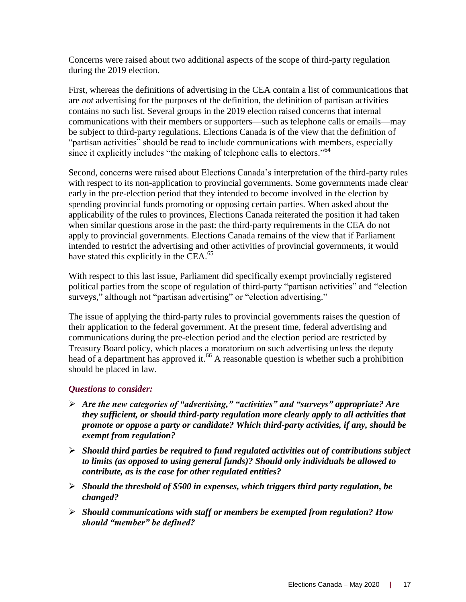Concerns were raised about two additional aspects of the scope of third-party regulation during the 2019 election.

First, whereas the definitions of advertising in the CEA contain a list of communications that are *not* advertising for the purposes of the definition, the definition of partisan activities contains no such list. Several groups in the 2019 election raised concerns that internal communications with their members or supporters—such as telephone calls or emails—may be subject to third-party regulations. Elections Canada is of the view that the definition of "partisan activities" should be read to include communications with members, especially since it explicitly includes "the making of telephone calls to electors."<sup>64</sup>

Second, concerns were raised about Elections Canada's interpretation of the third-party rules with respect to its non-application to provincial governments. Some governments made clear early in the pre-election period that they intended to become involved in the election by spending provincial funds promoting or opposing certain parties. When asked about the applicability of the rules to provinces, Elections Canada reiterated the position it had taken when similar questions arose in the past: the third-party requirements in the CEA do not apply to provincial governments. Elections Canada remains of the view that if Parliament intended to restrict the advertising and other activities of provincial governments, it would have stated this explicitly in the CEA.<sup>65</sup>

With respect to this last issue, Parliament did specifically exempt provincially registered political parties from the scope of regulation of third-party "partisan activities" and "election surveys," although not "partisan advertising" or "election advertising."

The issue of applying the third-party rules to provincial governments raises the question of their application to the federal government. At the present time, federal advertising and communications during the pre-election period and the election period are restricted by Treasury Board policy, which places a moratorium on such advertising unless the deputy head of a department has approved it.<sup>66</sup> A reasonable question is whether such a prohibition should be placed in law.

#### *Questions to consider:*

- *Are the new categories of "advertising," "activities" and "surveys" appropriate? Are they sufficient, or should third-party regulation more clearly apply to all activities that promote or oppose a party or candidate? Which third-party activities, if any, should be exempt from regulation?*
- *Should third parties be required to fund regulated activities out of contributions subject to limits (as opposed to using general funds)? Should only individuals be allowed to contribute, as is the case for other regulated entities?*
- *Should the threshold of \$500 in expenses, which triggers third party regulation, be changed?*
- *Should communications with staff or members be exempted from regulation? How should "member" be defined?*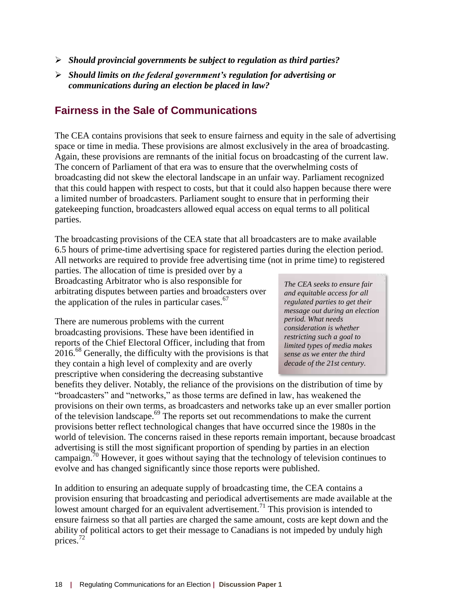- *Should provincial governments be subject to regulation as third parties?*
- *Should limits on the federal government's regulation for advertising or communications during an election be placed in law?*

### <span id="page-17-0"></span>**Fairness in the Sale of Communications**

The CEA contains provisions that seek to ensure fairness and equity in the sale of advertising space or time in media. These provisions are almost exclusively in the area of broadcasting. Again, these provisions are remnants of the initial focus on broadcasting of the current law. The concern of Parliament of that era was to ensure that the overwhelming costs of broadcasting did not skew the electoral landscape in an unfair way. Parliament recognized that this could happen with respect to costs, but that it could also happen because there were a limited number of broadcasters. Parliament sought to ensure that in performing their gatekeeping function, broadcasters allowed equal access on equal terms to all political parties.

The broadcasting provisions of the CEA state that all broadcasters are to make available 6.5 hours of prime-time advertising space for registered parties during the election period. All networks are required to provide free advertising time (not in prime time) to registered

parties. The allocation of time is presided over by a Broadcasting Arbitrator who is also responsible for arbitrating disputes between parties and broadcasters over the application of the rules in particular cases. $67$ 

There are numerous problems with the current broadcasting provisions. These have been identified in reports of the Chief Electoral Officer, including that from  $2016<sup>68</sup>$  Generally, the difficulty with the provisions is that they contain a high level of complexity and are overly prescriptive when considering the decreasing substantive

*The CEA seeks to ensure fair and equitable access for all regulated parties to get their message out during an election period. What needs consideration is whether restricting such a goal to limited types of media makes sense as we enter the third decade of the 21st century.*

benefits they deliver. Notably, the reliance of the provisions on the distribution of time by "broadcasters" and "networks," as those terms are defined in law, has weakened the provisions on their own terms, as broadcasters and networks take up an ever smaller portion of the television landscape.<sup>69</sup> The reports set out recommendations to make the current provisions better reflect technological changes that have occurred since the 1980s in the world of television. The concerns raised in these reports remain important, because broadcast advertising is still the most significant proportion of spending by parties in an election campaign.  $\frac{70}{70}$  However, it goes without saying that the technology of television continues to evolve and has changed significantly since those reports were published.

In addition to ensuring an adequate supply of broadcasting time, the CEA contains a provision ensuring that broadcasting and periodical advertisements are made available at the lowest amount charged for an equivalent advertisement.<sup>71</sup> This provision is intended to ensure fairness so that all parties are charged the same amount, costs are kept down and the ability of political actors to get their message to Canadians is not impeded by unduly high prices.<sup>72</sup>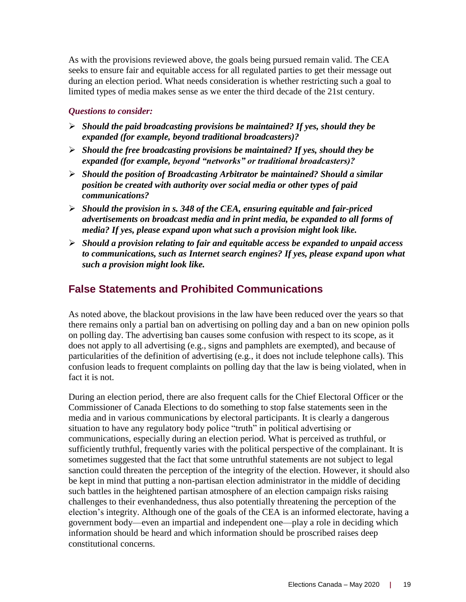As with the provisions reviewed above, the goals being pursued remain valid. The CEA seeks to ensure fair and equitable access for all regulated parties to get their message out during an election period. What needs consideration is whether restricting such a goal to limited types of media makes sense as we enter the third decade of the 21st century.

#### *Questions to consider:*

- *Should the paid broadcasting provisions be maintained? If yes, should they be expanded (for example, beyond traditional broadcasters)?*
- *Should the free broadcasting provisions be maintained? If yes, should they be expanded (for example, beyond "networks" or traditional broadcasters)?*
- *Should the position of Broadcasting Arbitrator be maintained? Should a similar position be created with authority over social media or other types of paid communications?*
- *Should the provision in s. 348 of the CEA, ensuring equitable and fair-priced advertisements on broadcast media and in print media, be expanded to all forms of media? If yes, please expand upon what such a provision might look like.*
- *Should a provision relating to fair and equitable access be expanded to unpaid access to communications, such as Internet search engines? If yes, please expand upon what such a provision might look like.*

## <span id="page-18-0"></span>**False Statements and Prohibited Communications**

As noted above, the blackout provisions in the law have been reduced over the years so that there remains only a partial ban on advertising on polling day and a ban on new opinion polls on polling day. The advertising ban causes some confusion with respect to its scope, as it does not apply to all advertising (e.g., signs and pamphlets are exempted), and because of particularities of the definition of advertising (e.g., it does not include telephone calls). This confusion leads to frequent complaints on polling day that the law is being violated, when in fact it is not.

During an election period, there are also frequent calls for the Chief Electoral Officer or the Commissioner of Canada Elections to do something to stop false statements seen in the media and in various communications by electoral participants. It is clearly a dangerous situation to have any regulatory body police "truth" in political advertising or communications, especially during an election period. What is perceived as truthful, or sufficiently truthful, frequently varies with the political perspective of the complainant. It is sometimes suggested that the fact that some untruthful statements are not subject to legal sanction could threaten the perception of the integrity of the election. However, it should also be kept in mind that putting a non-partisan election administrator in the middle of deciding such battles in the heightened partisan atmosphere of an election campaign risks raising challenges to their evenhandedness, thus also potentially threatening the perception of the election's integrity. Although one of the goals of the CEA is an informed electorate, having a government body—even an impartial and independent one—play a role in deciding which information should be heard and which information should be proscribed raises deep constitutional concerns.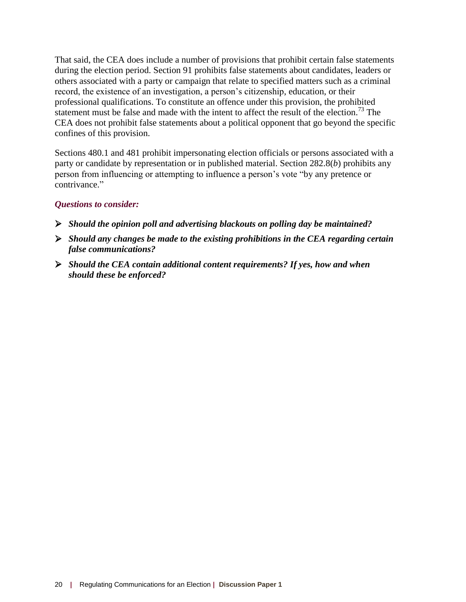That said, the CEA does include a number of provisions that prohibit certain false statements during the election period. Section 91 prohibits false statements about candidates, leaders or others associated with a party or campaign that relate to specified matters such as a criminal record, the existence of an investigation, a person's citizenship, education, or their professional qualifications. To constitute an offence under this provision, the prohibited statement must be false and made with the intent to affect the result of the election.<sup>73</sup> The CEA does not prohibit false statements about a political opponent that go beyond the specific confines of this provision.

Sections 480.1 and 481 prohibit impersonating election officials or persons associated with a party or candidate by representation or in published material. Section 282.8(*b*) prohibits any person from influencing or attempting to influence a person's vote "by any pretence or contrivance."

#### *Questions to consider:*

- *Should the opinion poll and advertising blackouts on polling day be maintained?*
- *Should any changes be made to the existing prohibitions in the CEA regarding certain false communications?*
- *Should the CEA contain additional content requirements? If yes, how and when should these be enforced?*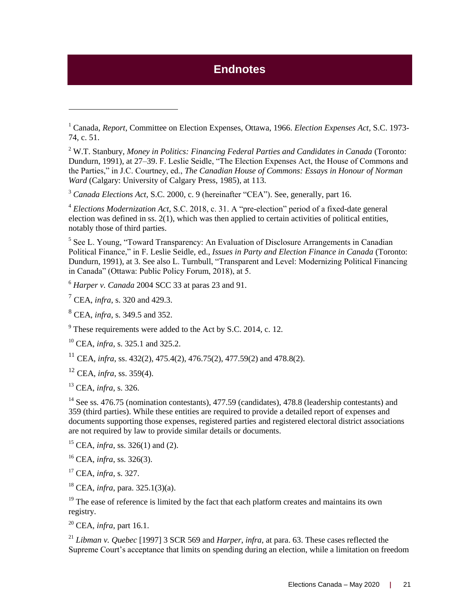# **Endnotes**

<sup>2</sup> W.T. Stanbury, *Money in Politics: Financing Federal Parties and Candidates in Canada* (Toronto: Dundurn, 1991), at 27–39. F. Leslie Seidle, "The Election Expenses Act, the House of Commons and the Parties," in J.C. Courtney, ed., *The Canadian House of Commons: Essays in Honour of Norman Ward* (Calgary: University of Calgary Press, 1985), at 113.

<sup>3</sup> *Canada Elections Act,* S.C. 2000, c. 9 (hereinafter "CEA"). See, generally, part 16.

<sup>4</sup> *Elections Modernization Act,* S.C. 2018, c. 31. A "pre-election" period of a fixed-date general election was defined in ss. 2(1), which was then applied to certain activities of political entities, notably those of third parties.

<sup>5</sup> See L. Young, "Toward Transparency: An Evaluation of Disclosure Arrangements in Canadian Political Finance," in F. Leslie Seidle, ed., *Issues in Party and Election Finance in Canada* (Toronto: Dundurn, 1991), at 3. See also L. Turnbull, "Transparent and Level: Modernizing Political Financing in Canada" (Ottawa: Public Policy Forum, 2018), at 5.

<sup>6</sup> *Harper v. Canada* 2004 SCC 33 at paras 23 and 91.

<sup>7</sup> CEA, *infra*, s. 320 and 429.3.

<span id="page-20-0"></span> $\overline{a}$ 

<sup>8</sup> CEA, *infra*, s. 349.5 and 352.

<sup>9</sup> These requirements were added to the Act by S.C. 2014, c. 12.

<sup>10</sup> CEA, *infra*, s. 325.1 and 325.2.

<sup>11</sup> CEA, *infra*, ss. 432(2), 475.4(2), 476.75(2), 477.59(2) and 478.8(2).

<sup>12</sup> CEA, *infra*, ss. 359(4).

<sup>13</sup> CEA, *infra*, s. 326.

<sup>14</sup> See ss. 476.75 (nomination contestants), 477.59 (candidates), 478.8 (leadership contestants) and 359 (third parties). While these entities are required to provide a detailed report of expenses and documents supporting those expenses, registered parties and registered electoral district associations are not required by law to provide similar details or documents.

<sup>15</sup> CEA, *infra*, ss. 326(1) and (2).

<sup>16</sup> CEA, *infra*, ss. 326(3).

<sup>17</sup> CEA, *infra*, s. 327.

<sup>18</sup> CEA, *infra*, para. 325.1(3)(a).

 $19$  The ease of reference is limited by the fact that each platform creates and maintains its own registry.

<sup>20</sup> CEA, *infra*, part 16.1.

<sup>21</sup> *Libman v. Quebec* [1997] 3 SCR 569 and *Harper*, *infra*, at para. 63. These cases reflected the Supreme Court's acceptance that limits on spending during an election, while a limitation on freedom

<sup>1</sup> Canada, *Report*, Committee on Election Expenses, Ottawa, 1966. *Election Expenses Act,* S.C. 1973- 74, c. 51.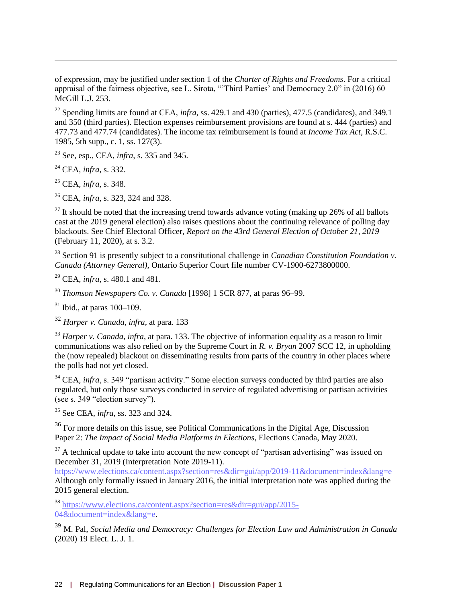of expression, may be justified under section 1 of the *Charter of Rights and Freedoms*. For a critical appraisal of the fairness objective, see L. Sirota, "'Third Parties' and Democracy 2.0" in (2016) 60 McGill L.J. 253.

<sup>22</sup> Spending limits are found at CEA, *infra*, ss. 429.1 and 430 (parties), 477.5 (candidates), and 349.1 and 350 (third parties). Election expenses reimbursement provisions are found at s. 444 (parties) and 477.73 and 477.74 (candidates). The income tax reimbursement is found at *Income Tax Act*, R.S.C. 1985, 5th supp., c. 1, ss. 127(3).

<sup>23</sup> See, esp., CEA, *infra*, s. 335 and 345.

<sup>24</sup> CEA, *infra*, s. 332.

 $\overline{a}$ 

<sup>25</sup> CEA, *infra*, s. 348.

<sup>26</sup> CEA, *infra*, s. 323, 324 and 328.

 $^{27}$  It should be noted that the increasing trend towards advance voting (making up 26% of all ballots cast at the 2019 general election) also raises questions about the continuing relevance of polling day blackouts. See Chief Electoral Officer, *Report on the 43rd General Election of October 21, 2019* (February 11, 2020), at s. 3.2.

<sup>28</sup> Section 91 is presently subject to a constitutional challenge in *Canadian Constitution Foundation v*. *Canada (Attorney General)*, Ontario Superior Court file number CV-1900-6273800000.

<sup>29</sup> CEA, *infra*, s. 480.1 and 481.

<sup>30</sup> *Thomson Newspapers Co. v. Canada* [1998] 1 SCR 877, at paras 96–99.

 $31$  Ibid., at paras 100–109.

<sup>32</sup> *Harper v. Canada*, *infra*, at para. 133

<sup>33</sup> *Harper v. Canada*, *infra*, at para. 133. The objective of information equality as a reason to limit communications was also relied on by the Supreme Court in *R. v. Bryan* 2007 SCC 12, in upholding the (now repealed) blackout on disseminating results from parts of the country in other places where the polls had not yet closed.

<sup>34</sup> CEA, *infra*, s. 349 "partisan activity." Some election surveys conducted by third parties are also regulated, but only those surveys conducted in service of regulated advertising or partisan activities (see s. 349 "election survey").

<sup>35</sup> See CEA, *infra*, ss. 323 and 324.

<sup>36</sup> For more details on this issue, see Political Communications in the Digital Age, Discussion Paper 2: *The Impact of Social Media Platforms in Elections*, Elections Canada, May 2020.

 $37$  A technical update to take into account the new concept of "partisan advertising" was issued on December 31, 2019 (Interpretation Note 2019-11).

<https://www.elections.ca/content.aspx?section=res&dir=gui/app/2019-11&document=index&lang=e> Although only formally issued in January 2016, the initial interpretation note was applied during the 2015 general election.

<sup>38</sup> [https://www.elections.ca/content.aspx?section=res&dir=gui/app/2015-](https://www.elections.ca/content.aspx?section=res&dir=gui/app/2015-04&document=index&lang=e) [04&document=index&lang=e.](https://www.elections.ca/content.aspx?section=res&dir=gui/app/2015-04&document=index&lang=e)

<sup>39</sup> M. Pal, *Social Media and Democracy: Challenges for Election Law and Administration in Canada* (2020) 19 Elect. L. J. 1.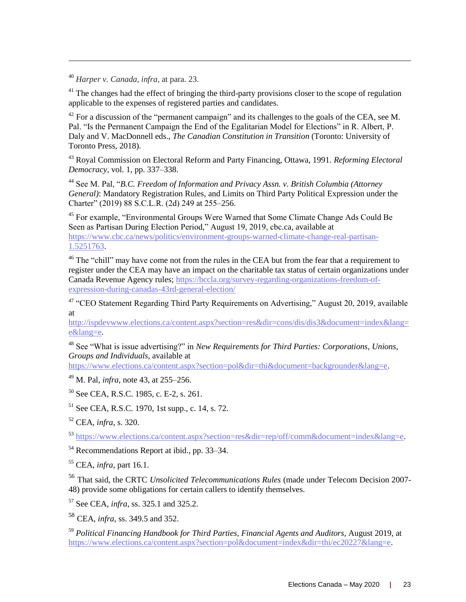<sup>40</sup> *Harper v. Canada*, *infra*, at para. 23.

 $\overline{a}$ 

 $41$  The changes had the effect of bringing the third-party provisions closer to the scope of regulation applicable to the expenses of registered parties and candidates.

 $42$  For a discussion of the "permanent campaign" and its challenges to the goals of the CEA, see M. Pal. "Is the Permanent Campaign the End of the Egalitarian Model for Elections" in R. Albert, P. Daly and V. MacDonnell eds., *The Canadian Constitution in Transition* (Toronto: University of Toronto Press, 2018).

<sup>43</sup> Royal Commission on Electoral Reform and Party Financing, Ottawa, 1991. *Reforming Electoral Democracy,* vol. 1, pp. 337–338.

<sup>44</sup> See M. Pal, "*B.C. Freedom of Information and Privacy Assn. v. British Columbia (Attorney General)*: Mandatory Registration Rules, and Limits on Third Party Political Expression under the Charter" (2019) 88 S.C.L.R. (2d) 249 at 255–256.

<sup>45</sup> For example, "Environmental Groups Were Warned that Some Climate Change Ads Could Be Seen as Partisan During Election Period," August 19, 2019, cbc.ca, available at [https://www.cbc.ca/news/politics/environment-groups-warned-climate-change-real-partisan-](https://www.cbc.ca/news/politics/environment-groups-warned-climate-change-real-partisan-1.5251763)[1.5251763.](https://www.cbc.ca/news/politics/environment-groups-warned-climate-change-real-partisan-1.5251763)

<sup>46</sup> The "chill" may have come not from the rules in the CEA but from the fear that a requirement to register under the CEA may have an impact on the charitable tax status of certain organizations under Canada Revenue Agency rules; [https://bccla.org/survey-regarding-organizations-freedom-of](https://bccla.org/survey-regarding-organizations-freedom-of-expression-during-canadas-43rd-general-election/)[expression-during-canadas-43rd-general-election/](https://bccla.org/survey-regarding-organizations-freedom-of-expression-during-canadas-43rd-general-election/)

<sup>47</sup> "CEO Statement Regarding Third Party Requirements on Advertising," August 20, 2019, available at

[http://ispdevwww.elections.ca/content.aspx?section=res&dir=cons/dis/dis3&document=index&lang=](https://www.elections.ca/content.aspx?section=med&document=aug2019&dir=spe&lang=e) [e&lang=e.](https://www.elections.ca/content.aspx?section=med&document=aug2019&dir=spe&lang=e)

<sup>48</sup> See "What is issue advertising?" in *New Requirements for Third Parties: Corporations, Unions, Groups and Individuals*, available at

[https://www.elections.ca/content.aspx?section=pol&dir=thi&document=backgrounder&lang=e.](https://www.elections.ca/content.aspx?section=pol&dir=thi&document=backgrounder&lang=e)

<sup>49</sup> M. Pal, *infra*, note 43, at 255–256.

<sup>50</sup> See CEA, R.S.C. 1985, c. E-2, s. 261.

 $51$  See CEA, R.S.C. 1970, 1st supp., c. 14, s. 72.

<sup>52</sup> CEA, *infra*, s. 320.

<sup>53</sup> [https://www.elections.ca/content.aspx?section=res&dir=rep/off/comm&document=index&lang=e.](https://www.elections.ca/content.aspx?section=res&dir=rep/off/comm&document=index&lang=e)

<sup>54</sup> Recommendations Report at ibid., pp. 33–34.

<sup>55</sup> CEA, *infra*, part 16.1.

<sup>56</sup> That said, the CRTC *Unsolicited Telecommunications Rules* (made under Telecom Decision 2007- 48) provide some obligations for certain callers to identify themselves.

<sup>57</sup> See CEA, *infra*, ss. 325.1 and 325.2.

<sup>58</sup> CEA, *infra*, ss. 349.5 and 352.

<sup>59</sup> *Political Financing Handbook for Third Parties, Financial Agents and Auditors,* August 2019, at [https://www.elections.ca/content.aspx?section=pol&document=index&dir=thi/ec20227&lang=e.](https://www.elections.ca/content.aspx?section=pol&document=index&dir=thi/ec20227&lang=e)